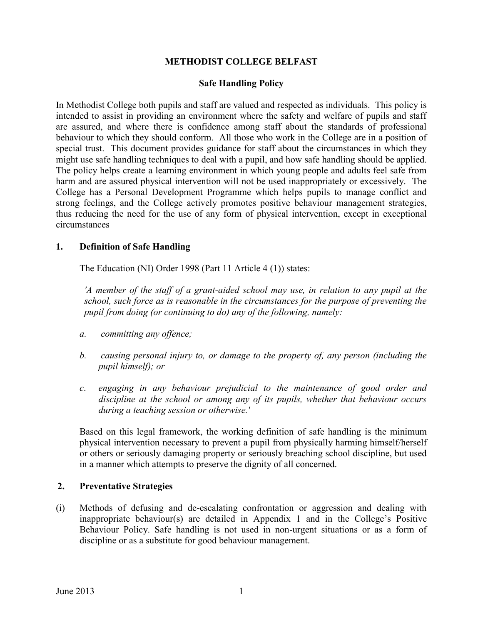### **METHODIST COLLEGE BELFAST**

### **Safe Handling Policy**

In Methodist College both pupils and staff are valued and respected as individuals. This policy is intended to assist in providing an environment where the safety and welfare of pupils and staff are assured, and where there is confidence among staff about the standards of professional behaviour to which they should conform. All those who work in the College are in a position of special trust. This document provides guidance for staff about the circumstances in which they might use safe handling techniques to deal with a pupil, and how safe handling should be applied. The policy helps create a learning environment in which young people and adults feel safe from harm and are assured physical intervention will not be used inappropriately or excessively. The College has a Personal Development Programme which helps pupils to manage conflict and strong feelings, and the College actively promotes positive behaviour management strategies, thus reducing the need for the use of any form of physical intervention, except in exceptional circumstances

#### **1. Definition of Safe Handling**

The Education (NI) Order 1998 (Part 11 Article 4 (1)) states:

*'A member of the staff of a grant-aided school may use, in relation to any pupil at the school, such force as is reasonable in the circumstances for the purpose of preventing the pupil from doing (or continuing to do) any of the following, namely:*

- *a. committing any offence;*
- *b. causing personal injury to, or damage to the property of, any person (including the pupil himself); or*
- *c*. *engaging in any behaviour prejudicial to the maintenance of good order and discipline at the school or among any of its pupils, whether that behaviour occurs during a teaching session or otherwise.'*

Based on this legal framework, the working definition of safe handling is the minimum physical intervention necessary to prevent a pupil from physically harming himself/herself or others or seriously damaging property or seriously breaching school discipline, but used in a manner which attempts to preserve the dignity of all concerned.

#### **2. Preventative Strategies**

(i) Methods of defusing and de-escalating confrontation or aggression and dealing with inappropriate behaviour(s) are detailed in Appendix 1 and in the College's Positive Behaviour Policy. Safe handling is not used in non-urgent situations or as a form of discipline or as a substitute for good behaviour management.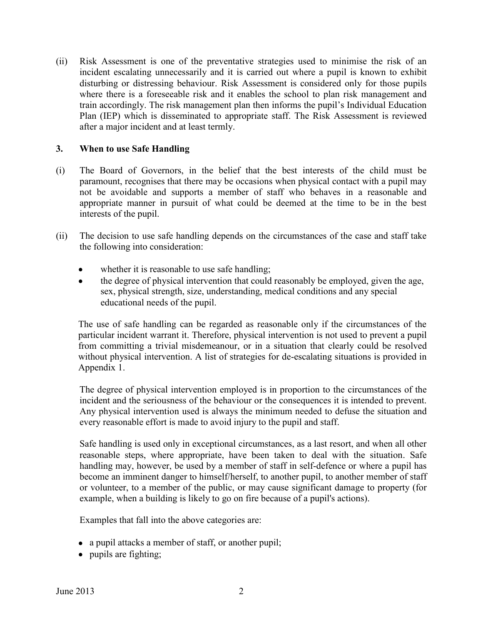(ii) Risk Assessment is one of the preventative strategies used to minimise the risk of an incident escalating unnecessarily and it is carried out where a pupil is known to exhibit disturbing or distressing behaviour. Risk Assessment is considered only for those pupils where there is a foreseeable risk and it enables the school to plan risk management and train accordingly. The risk management plan then informs the pupil's Individual Education Plan (IEP) which is disseminated to appropriate staff. The Risk Assessment is reviewed after a major incident and at least termly.

### **3. When to use Safe Handling**

- (i) The Board of Governors, in the belief that the best interests of the child must be paramount, recognises that there may be occasions when physical contact with a pupil may not be avoidable and supports a member of staff who behaves in a reasonable and appropriate manner in pursuit of what could be deemed at the time to be in the best interests of the pupil.
- (ii) The decision to use safe handling depends on the circumstances of the case and staff take the following into consideration:
	- whether it is reasonable to use safe handling;
	- the degree of physical intervention that could reasonably be employed, given the age,  $\bullet$ sex, physical strength, size, understanding, medical conditions and any special educational needs of the pupil.

The use of safe handling can be regarded as reasonable only if the circumstances of the particular incident warrant it. Therefore, physical intervention is not used to prevent a pupil from committing a trivial misdemeanour, or in a situation that clearly could be resolved without physical intervention. A list of strategies for de-escalating situations is provided in Appendix 1.

The degree of physical intervention employed is in proportion to the circumstances of the incident and the seriousness of the behaviour or the consequences it is intended to prevent. Any physical intervention used is always the minimum needed to defuse the situation and every reasonable effort is made to avoid injury to the pupil and staff.

Safe handling is used only in exceptional circumstances, as a last resort, and when all other reasonable steps, where appropriate, have been taken to deal with the situation. Safe handling may, however, be used by a member of staff in self-defence or where a pupil has become an imminent danger to himself/herself, to another pupil, to another member of staff or volunteer, to a member of the public, or may cause significant damage to property (for example, when a building is likely to go on fire because of a pupil's actions).

Examples that fall into the above categories are:

- a pupil attacks a member of staff, or another pupil;
- pupils are fighting;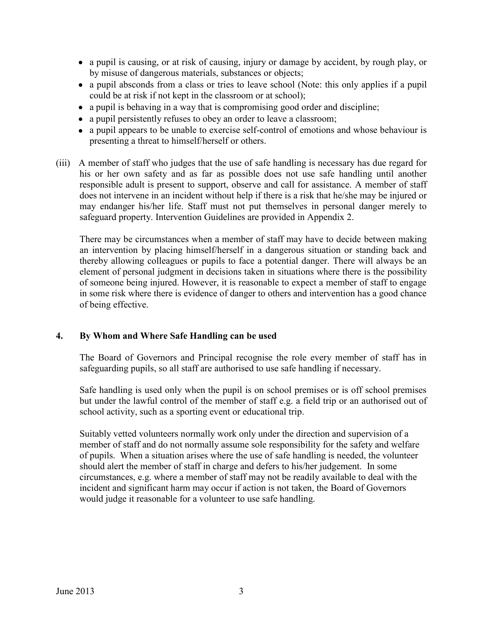- a pupil is causing, or at risk of causing, injury or damage by accident, by rough play, or by misuse of dangerous materials, substances or objects;
- a pupil absconds from a class or tries to leave school (Note: this only applies if a pupil could be at risk if not kept in the classroom or at school);
- a pupil is behaving in a way that is compromising good order and discipline;
- a pupil persistently refuses to obey an order to leave a classroom;
- a pupil appears to be unable to exercise self-control of emotions and whose behaviour is presenting a threat to himself/herself or others.
- (iii) A member of staff who judges that the use of safe handling is necessary has due regard for his or her own safety and as far as possible does not use safe handling until another responsible adult is present to support, observe and call for assistance. A member of staff does not intervene in an incident without help if there is a risk that he/she may be injured or may endanger his/her life. Staff must not put themselves in personal danger merely to safeguard property. Intervention Guidelines are provided in Appendix 2.

There may be circumstances when a member of staff may have to decide between making an intervention by placing himself/herself in a dangerous situation or standing back and thereby allowing colleagues or pupils to face a potential danger. There will always be an element of personal judgment in decisions taken in situations where there is the possibility of someone being injured. However, it is reasonable to expect a member of staff to engage in some risk where there is evidence of danger to others and intervention has a good chance of being effective.

# **4. By Whom and Where Safe Handling can be used**

The Board of Governors and Principal recognise the role every member of staff has in safeguarding pupils, so all staff are authorised to use safe handling if necessary.

Safe handling is used only when the pupil is on school premises or is off school premises but under the lawful control of the member of staff e.g. a field trip or an authorised out of school activity, such as a sporting event or educational trip.

Suitably vetted volunteers normally work only under the direction and supervision of a member of staff and do not normally assume sole responsibility for the safety and welfare of pupils. When a situation arises where the use of safe handling is needed, the volunteer should alert the member of staff in charge and defers to his/her judgement. In some circumstances, e.g. where a member of staff may not be readily available to deal with the incident and significant harm may occur if action is not taken, the Board of Governors would judge it reasonable for a volunteer to use safe handling.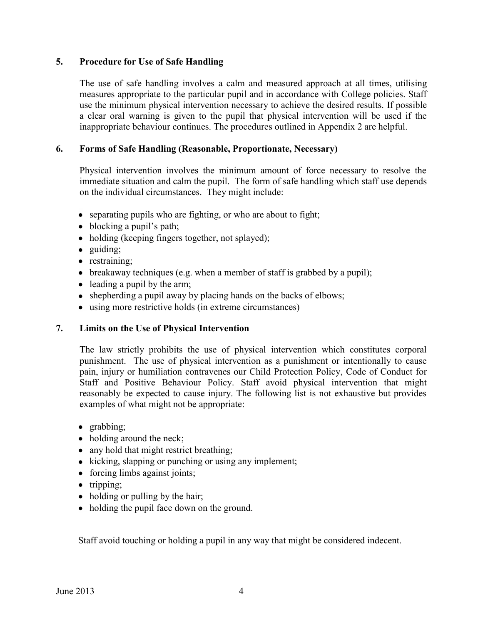### **5. Procedure for Use of Safe Handling**

The use of safe handling involves a calm and measured approach at all times, utilising measures appropriate to the particular pupil and in accordance with College policies. Staff use the minimum physical intervention necessary to achieve the desired results. If possible a clear oral warning is given to the pupil that physical intervention will be used if the inappropriate behaviour continues. The procedures outlined in Appendix 2 are helpful.

### **6. Forms of Safe Handling (Reasonable, Proportionate, Necessary)**

Physical intervention involves the minimum amount of force necessary to resolve the immediate situation and calm the pupil. The form of safe handling which staff use depends on the individual circumstances. They might include:

- separating pupils who are fighting, or who are about to fight;
- blocking a pupil's path;
- holding (keeping fingers together, not splayed);
- guiding;
- restraining;
- breakaway techniques (e.g. when a member of staff is grabbed by a pupil);
- leading a pupil by the arm;
- shepherding a pupil away by placing hands on the backs of elbows;
- using more restrictive holds (in extreme circumstances)

# **7. Limits on the Use of Physical Intervention**

The law strictly prohibits the use of physical intervention which constitutes corporal punishment. The use of physical intervention as a punishment or intentionally to cause pain, injury or humiliation contravenes our Child Protection Policy, Code of Conduct for Staff and Positive Behaviour Policy. Staff avoid physical intervention that might reasonably be expected to cause injury. The following list is not exhaustive but provides examples of what might not be appropriate:

- grabbing;
- holding around the neck;
- any hold that might restrict breathing;
- $\bullet$  kicking, slapping or punching or using any implement;
- forcing limbs against joints;
- $\bullet$  tripping;
- holding or pulling by the hair;
- holding the pupil face down on the ground.

Staff avoid touching or holding a pupil in any way that might be considered indecent.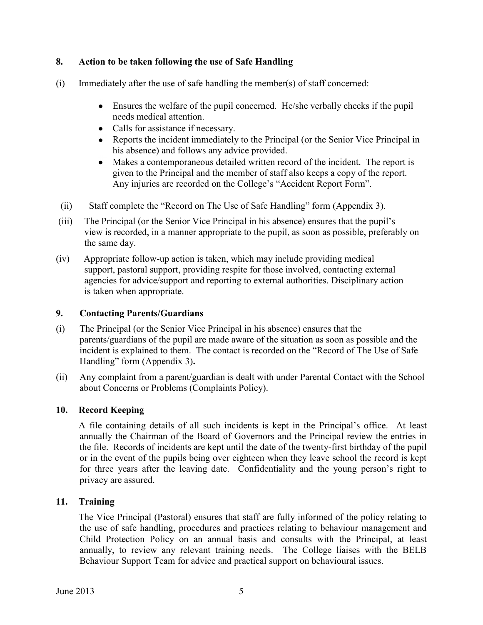# **8. Action to be taken following the use of Safe Handling**

- (i) Immediately after the use of safe handling the member(s) of staff concerned:
	- Ensures the welfare of the pupil concerned. He/she verbally checks if the pupil needs medical attention.
	- Calls for assistance if necessary.
	- Reports the incident immediately to the Principal (or the Senior Vice Principal in his absence) and follows any advice provided.
	- Makes a contemporaneous detailed written record of the incident. The report is given to the Principal and the member of staff also keeps a copy of the report. Any injuries are recorded on the College's "Accident Report Form".
- (ii) Staff complete the "Record on The Use of Safe Handling" form (Appendix 3).
- (iii) The Principal (or the Senior Vice Principal in his absence) ensures that the pupil's view is recorded, in a manner appropriate to the pupil, as soon as possible, preferably on the same day.
- (iv) Appropriate follow-up action is taken, which may include providing medical support, pastoral support, providing respite for those involved, contacting external agencies for advice/support and reporting to external authorities. Disciplinary action is taken when appropriate.

# **9. Contacting Parents/Guardians**

- (i) The Principal (or the Senior Vice Principal in his absence) ensures that the parents/guardians of the pupil are made aware of the situation as soon as possible and the incident is explained to them. The contact is recorded on the "Record of The Use of Safe Handling" form (Appendix 3)**.**
- (ii) Any complaint from a parent/guardian is dealt with under Parental Contact with the School about Concerns or Problems (Complaints Policy).

# **10. Record Keeping**

A file containing details of all such incidents is kept in the Principal's office. At least annually the Chairman of the Board of Governors and the Principal review the entries in the file. Records of incidents are kept until the date of the twenty-first birthday of the pupil or in the event of the pupils being over eighteen when they leave school the record is kept for three years after the leaving date. Confidentiality and the young person's right to privacy are assured.

# **11. Training**

The Vice Principal (Pastoral) ensures that staff are fully informed of the policy relating to the use of safe handling, procedures and practices relating to behaviour management and Child Protection Policy on an annual basis and consults with the Principal, at least annually, to review any relevant training needs. The College liaises with the BELB Behaviour Support Team for advice and practical support on behavioural issues.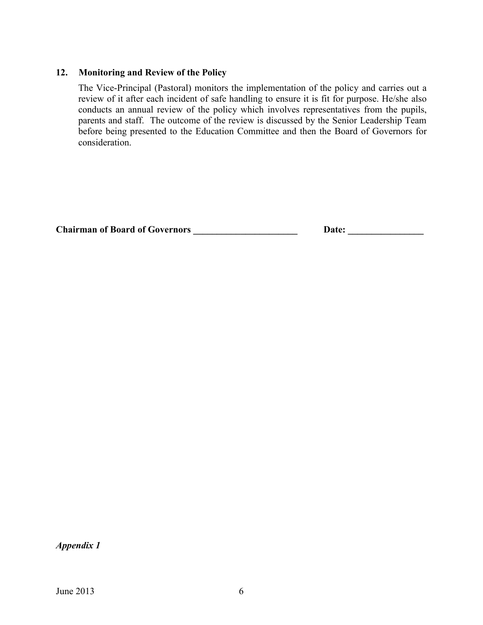## **12. Monitoring and Review of the Policy**

The Vice-Principal (Pastoral) monitors the implementation of the policy and carries out a review of it after each incident of safe handling to ensure it is fit for purpose. He/she also conducts an annual review of the policy which involves representatives from the pupils, parents and staff. The outcome of the review is discussed by the Senior Leadership Team before being presented to the Education Committee and then the Board of Governors for consideration.

| <b>Chairman of Board of Governors</b> | Date: |  |
|---------------------------------------|-------|--|
|---------------------------------------|-------|--|

*Appendix 1*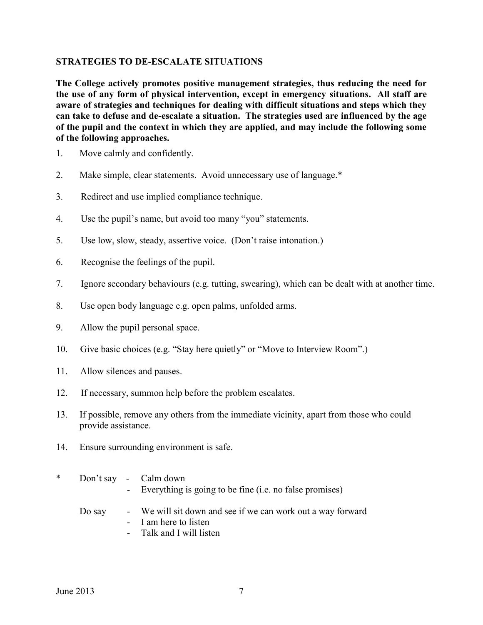### **STRATEGIES TO DE-ESCALATE SITUATIONS**

**The College actively promotes positive management strategies, thus reducing the need for the use of any form of physical intervention, except in emergency situations. All staff are aware of strategies and techniques for dealing with difficult situations and steps which they can take to defuse and de-escalate a situation. The strategies used are influenced by the age of the pupil and the context in which they are applied, and may include the following some of the following approaches.**

- 1. Move calmly and confidently.
- 2. Make simple, clear statements. Avoid unnecessary use of language.\*
- 3. Redirect and use implied compliance technique.
- 4. Use the pupil's name, but avoid too many "you" statements.
- 5. Use low, slow, steady, assertive voice. (Don't raise intonation.)
- 6. Recognise the feelings of the pupil.
- 7. Ignore secondary behaviours (e.g. tutting, swearing), which can be dealt with at another time.
- 8. Use open body language e.g. open palms, unfolded arms.
- 9. Allow the pupil personal space.
- 10. Give basic choices (e.g. "Stay here quietly" or "Move to Interview Room".)
- 11. Allow silences and pauses.
- 12. If necessary, summon help before the problem escalates.
- 13. If possible, remove any others from the immediate vicinity, apart from those who could provide assistance.
- 14. Ensure surrounding environment is safe.
- \* Don't say Calm down - Everything is going to be fine (i.e. no false promises)
	- Do say We will sit down and see if we can work out a way forward - I am here to listen
		- Talk and I will listen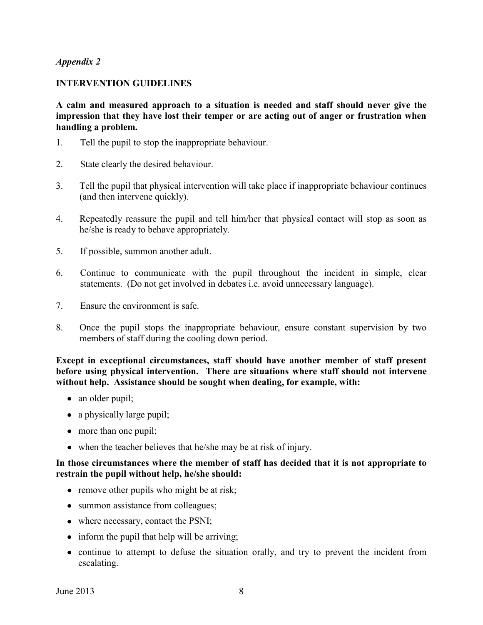#### **INTERVENTION GUIDELINES**

**A calm and measured approach to a situation is needed and staff should never give the impression that they have lost their temper or are acting out of anger or frustration when handling a problem.**

- 1. Tell the pupil to stop the inappropriate behaviour.
- 2. State clearly the desired behaviour.
- 3. Tell the pupil that physical intervention will take place if inappropriate behaviour continues (and then intervene quickly).
- 4. Repeatedly reassure the pupil and tell him/her that physical contact will stop as soon as he/she is ready to behave appropriately.
- 5. If possible, summon another adult.
- 6. Continue to communicate with the pupil throughout the incident in simple, clear statements. (Do not get involved in debates i.e. avoid unnecessary language).
- 7. Ensure the environment is safe.
- 8. Once the pupil stops the inappropriate behaviour, ensure constant supervision by two members of staff during the cooling down period.

**Except in exceptional circumstances, staff should have another member of staff present before using physical intervention. There are situations where staff should not intervene without help. Assistance should be sought when dealing, for example, with:** 

- an older pupil;
- a physically large pupil;
- more than one pupil;
- when the teacher believes that he/she may be at risk of injury.

#### **In those circumstances where the member of staff has decided that it is not appropriate to restrain the pupil without help, he/she should:**

- remove other pupils who might be at risk;
- summon assistance from colleagues;
- where necessary, contact the PSNI;
- inform the pupil that help will be arriving;
- continue to attempt to defuse the situation orally, and try to prevent the incident from escalating.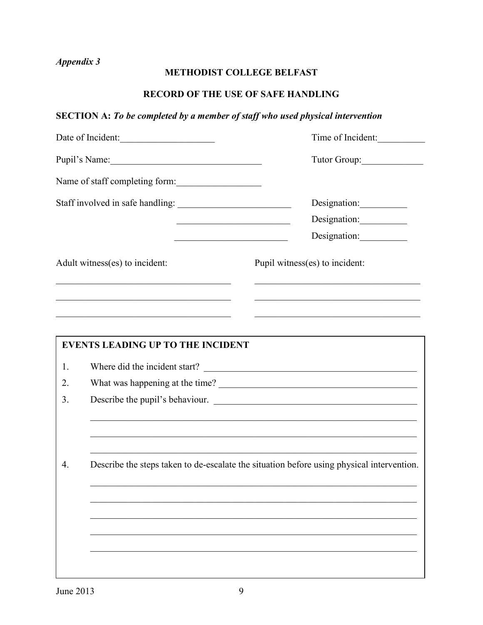# **METHODIST COLLEGE BELFAST**

# **RECORD OF THE USE OF SAFE HANDLING**

# **SECTION A:** *To be completed by a member of staff who used physical intervention*

|                                | Date of Incident:<br>Time of Incident:                                                    |                                                                                                                                                                                                                                                                                                                   |  |  |  |
|--------------------------------|-------------------------------------------------------------------------------------------|-------------------------------------------------------------------------------------------------------------------------------------------------------------------------------------------------------------------------------------------------------------------------------------------------------------------|--|--|--|
| Pupil's Name:                  |                                                                                           | Tutor Group:                                                                                                                                                                                                                                                                                                      |  |  |  |
|                                | Name of staff completing form:                                                            |                                                                                                                                                                                                                                                                                                                   |  |  |  |
|                                |                                                                                           | Designation:                                                                                                                                                                                                                                                                                                      |  |  |  |
|                                |                                                                                           | Designation:                                                                                                                                                                                                                                                                                                      |  |  |  |
|                                |                                                                                           | Designation:<br>the control of the control of the control of the control of the control of                                                                                                                                                                                                                        |  |  |  |
| Adult witness(es) to incident: |                                                                                           | Pupil witness(es) to incident:                                                                                                                                                                                                                                                                                    |  |  |  |
|                                | the control of the control of the control of the control of the control of the control of |                                                                                                                                                                                                                                                                                                                   |  |  |  |
|                                | the control of the control of the control of the control of the control of the control of |                                                                                                                                                                                                                                                                                                                   |  |  |  |
|                                |                                                                                           |                                                                                                                                                                                                                                                                                                                   |  |  |  |
|                                | <b>EVENTS LEADING UP TO THE INCIDENT</b>                                                  |                                                                                                                                                                                                                                                                                                                   |  |  |  |
| 1.                             |                                                                                           |                                                                                                                                                                                                                                                                                                                   |  |  |  |
| 2.                             |                                                                                           |                                                                                                                                                                                                                                                                                                                   |  |  |  |
| 3.                             | Describe the pupil's behaviour.                                                           |                                                                                                                                                                                                                                                                                                                   |  |  |  |
|                                |                                                                                           |                                                                                                                                                                                                                                                                                                                   |  |  |  |
|                                |                                                                                           | ,我们也不能在这里的时候,我们也不能在这里的时候,我们也不能在这里的时候,我们也不能会在这里的时候,我们也不能会在这里的时候,我们也不能会在这里的时候,我们也不<br>the control of the control of the control of the control of the control of the control of the control of the control of the control of the control of the control of the control of the control of the control of the control |  |  |  |
| 4.                             | Describe the steps taken to de-escalate the situation before using physical intervention. |                                                                                                                                                                                                                                                                                                                   |  |  |  |
|                                |                                                                                           |                                                                                                                                                                                                                                                                                                                   |  |  |  |
|                                |                                                                                           |                                                                                                                                                                                                                                                                                                                   |  |  |  |
|                                |                                                                                           |                                                                                                                                                                                                                                                                                                                   |  |  |  |
|                                |                                                                                           |                                                                                                                                                                                                                                                                                                                   |  |  |  |
|                                |                                                                                           |                                                                                                                                                                                                                                                                                                                   |  |  |  |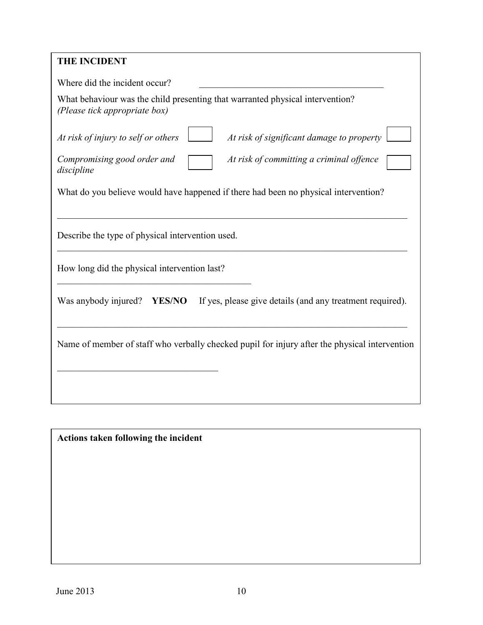# **THE INCIDENT**

| THE HICIDENT                                                                                                   |
|----------------------------------------------------------------------------------------------------------------|
| Where did the incident occur?                                                                                  |
| What behaviour was the child presenting that warranted physical intervention?<br>(Please tick appropriate box) |
| At risk of significant damage to property<br>At risk of injury to self or others                               |
| Compromising good order and<br>At risk of committing a criminal offence<br>discipline                          |
| What do you believe would have happened if there had been no physical intervention?                            |
|                                                                                                                |
| Describe the type of physical intervention used.                                                               |
| How long did the physical intervention last?                                                                   |
| Was anybody injured?<br>If yes, please give details (and any treatment required).<br><b>YES/NO</b>             |
| Name of member of staff who verbally checked pupil for injury after the physical intervention                  |
|                                                                                                                |

**Actions taken following the incident**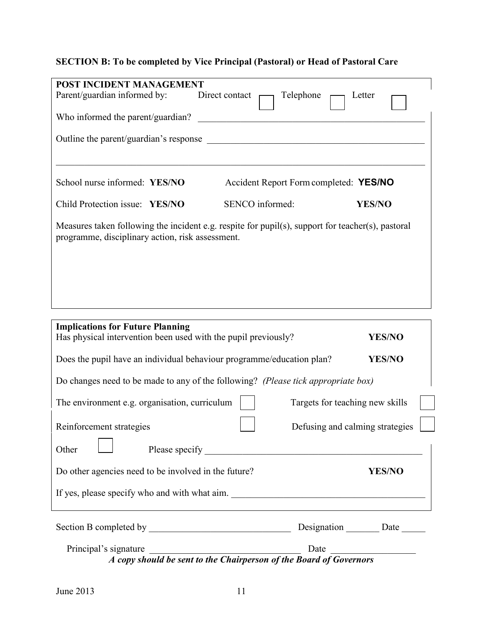# **SECTION B: To be completed by Vice Principal (Pastoral) or Head of Pastoral Care**

| POST INCIDENT MANAGEMENT<br>Parent/guardian informed by:                                                                                              | Direct contact  | Telephone                              | Letter                           |  |  |
|-------------------------------------------------------------------------------------------------------------------------------------------------------|-----------------|----------------------------------------|----------------------------------|--|--|
|                                                                                                                                                       |                 |                                        |                                  |  |  |
| Who informed the parent/guardian?                                                                                                                     |                 |                                        |                                  |  |  |
|                                                                                                                                                       |                 |                                        |                                  |  |  |
|                                                                                                                                                       |                 |                                        |                                  |  |  |
| School nurse informed: YES/NO                                                                                                                         |                 | Accident Report Form completed: YES/NO |                                  |  |  |
| Child Protection issue: YES/NO                                                                                                                        | SENCO informed: |                                        | <b>YES/NO</b>                    |  |  |
| Measures taken following the incident e.g. respite for pupil(s), support for teacher(s), pastoral<br>programme, disciplinary action, risk assessment. |                 |                                        |                                  |  |  |
|                                                                                                                                                       |                 |                                        |                                  |  |  |
|                                                                                                                                                       |                 |                                        |                                  |  |  |
| <b>Implications for Future Planning</b>                                                                                                               |                 |                                        |                                  |  |  |
| Has physical intervention been used with the pupil previously?<br><b>YES/NO</b>                                                                       |                 |                                        |                                  |  |  |
| Does the pupil have an individual behaviour programme/education plan?<br><b>YES/NO</b>                                                                |                 |                                        |                                  |  |  |
| Do changes need to be made to any of the following? (Please tick appropriate box)                                                                     |                 |                                        |                                  |  |  |
| The environment e.g. organisation, curriculum                                                                                                         |                 | Targets for teaching new skills        |                                  |  |  |
| Reinforcement strategies                                                                                                                              |                 | Defusing and calming strategies [164]  |                                  |  |  |
| Other                                                                                                                                                 |                 |                                        |                                  |  |  |
| Do other agencies need to be involved in the future?                                                                                                  |                 |                                        | <b>YES/NO</b>                    |  |  |
| If yes, please specify who and with what aim.                                                                                                         |                 |                                        |                                  |  |  |
|                                                                                                                                                       |                 |                                        | Designation ________ Date ______ |  |  |
| Principal's signature                                                                                                                                 |                 |                                        |                                  |  |  |

*A copy should be sent to the Chairperson of the Board of Governors*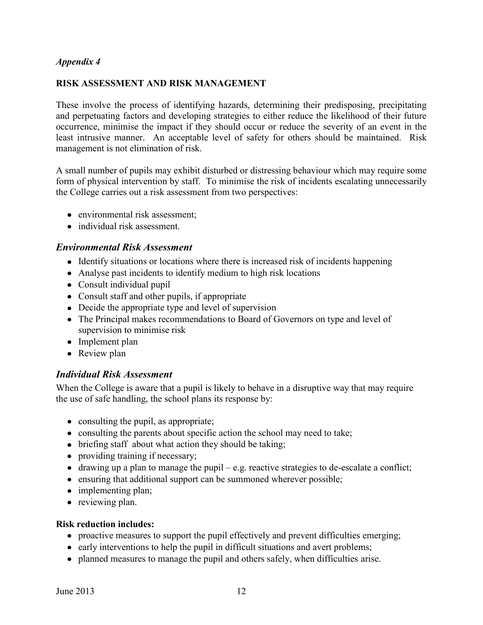#### **RISK ASSESSMENT AND RISK MANAGEMENT**

These involve the process of identifying hazards, determining their predisposing, precipitating and perpetuating factors and developing strategies to either reduce the likelihood of their future occurrence, minimise the impact if they should occur or reduce the severity of an event in the least intrusive manner. An acceptable level of safety for others should be maintained. Risk management is not elimination of risk.

A small number of pupils may exhibit disturbed or distressing behaviour which may require some form of physical intervention by staff. To minimise the risk of incidents escalating unnecessarily the College carries out a risk assessment from two perspectives:

- environmental risk assessment;
- individual risk assessment.

### *Environmental Risk Assessment*

- Identify situations or locations where there is increased risk of incidents happening
- Analyse past incidents to identify medium to high risk locations
- Consult individual pupil
- Consult staff and other pupils, if appropriate
- Decide the appropriate type and level of supervision
- The Principal makes recommendations to Board of Governors on type and level of supervision to minimise risk
- Implement plan
- Review plan

# *Individual Risk Assessment*

When the College is aware that a pupil is likely to behave in a disruptive way that may require the use of safe handling, the school plans its response by:

- consulting the pupil, as appropriate;
- consulting the parents about specific action the school may need to take;
- briefing staff about what action they should be taking;
- providing training if necessary;
- $\bullet$  drawing up a plan to manage the pupil e.g. reactive strategies to de-escalate a conflict;
- ensuring that additional support can be summoned wherever possible;
- implementing plan;
- reviewing plan.

#### **Risk reduction includes:**

- proactive measures to support the pupil effectively and prevent difficulties emerging;
- early interventions to help the pupil in difficult situations and avert problems;
- planned measures to manage the pupil and others safely, when difficulties arise.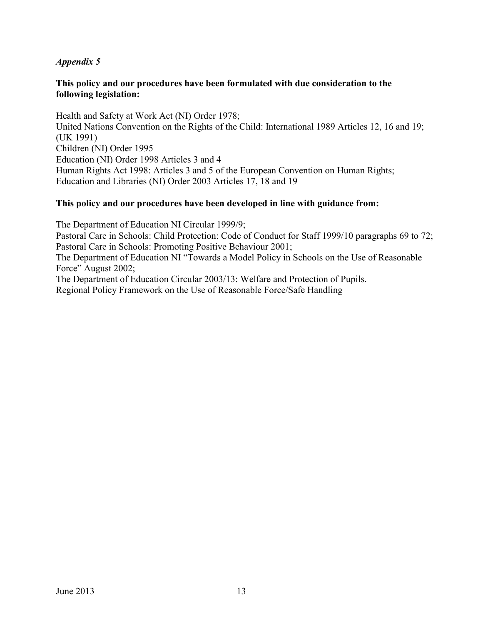### **This policy and our procedures have been formulated with due consideration to the following legislation:**

Health and Safety at Work Act (NI) Order 1978; United Nations Convention on the Rights of the Child: International 1989 Articles 12, 16 and 19; (UK 1991) Children (NI) Order 1995 Education (NI) Order 1998 Articles 3 and 4 Human Rights Act 1998: Articles 3 and 5 of the European Convention on Human Rights; Education and Libraries (NI) Order 2003 Articles 17, 18 and 19

# **This policy and our procedures have been developed in line with guidance from:**

The Department of Education NI Circular 1999/9; Pastoral Care in Schools: Child Protection: Code of Conduct for Staff 1999/10 paragraphs 69 to 72; Pastoral Care in Schools: Promoting Positive Behaviour 2001; The Department of Education NI "Towards a Model Policy in Schools on the Use of Reasonable Force" August 2002; The Department of Education Circular 2003/13: Welfare and Protection of Pupils. Regional Policy Framework on the Use of Reasonable Force/Safe Handling